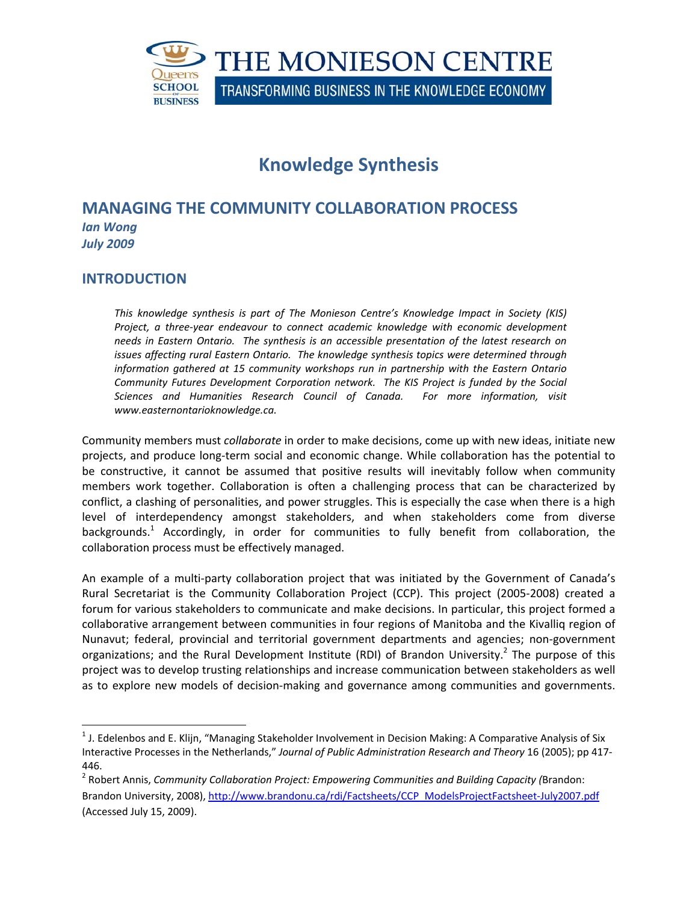

# **Knowledge Synthesis**

# **MANAGING THE COMMUNITY COLLABORATION PROCESS** *Ian Wong July 2009*

## **INTRODUCTION**

*This knowledge synthesis is part of The Monieson Centre's Knowledge Impact in Society (KIS) Project, a three‐year endeavour to connect academic knowledge with economic development needs in Eastern Ontario. The synthesis is an accessible presentation of the latest research on issues affecting rural Eastern Ontario. The knowledge synthesis topics were determined through information gathered at 15 community workshops run in partnership with the Eastern Ontario Community Futures Development Corporation network. The KIS Project is funded by the Social Sciences and Humanities Research Council of Canada. For more information, visit www.easternontarioknowledge.ca.*

Community members must *collaborate* in order to make decisions, come up with new ideas, initiate new projects, and produce long‐term social and economic change. While collaboration has the potential to be constructive, it cannot be assumed that positive results will inevitably follow when community members work together. Collaboration is often a challenging process that can be characterized by conflict, a clashing of personalities, and power struggles. This is especially the case when there is a high level of interdependency amongst stakeholders, and when stakeholders come from diverse backgrounds.<sup>1</sup> Accordingly, in order for communities to fully benefit from collaboration, the collaboration process must be effectively managed.

An example of a multi-party collaboration project that was initiated by the Government of Canada's Rural Secretariat is the Community Collaboration Project (CCP). This project (2005-2008) created a forum for various stakeholders to communicate and make decisions. In particular, this project formed a collaborative arrangement between communities in four regions of Manitoba and the Kivalliq region of Nunavut; federal, provincial and territorial government departments and agencies; non‐government organizations; and the Rural Development Institute (RDI) of Brandon University.<sup>2</sup> The purpose of this project was to develop trusting relationships and increase communication between stakeholders as well as to explore new models of decision‐making and governance among communities and governments.

 $1$  J. Edelenbos and E. Klijn, "Managing Stakeholder Involvement in Decision Making: A Comparative Analysis of Six Interactive Processes in the Netherlands," *Journal of Public Administration Research and Theory* 16 (2005); pp 417‐ 446.

<sup>2</sup> Robert Annis, *Community Collaboration Project: Empowering Communities and Building Capacity (*Brandon: Brandon University, 2008), http://www.brandonu.ca/rdi/Factsheets/CCP\_ModelsProjectFactsheet-July2007.pdf (Accessed July 15, 2009).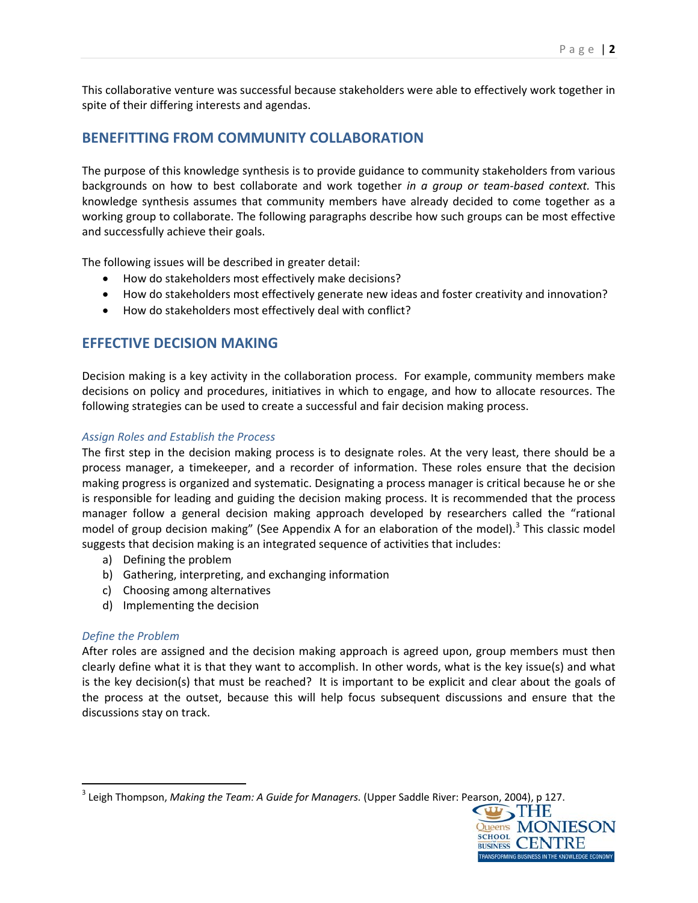This collaborative venture was successful because stakeholders were able to effectively work together in spite of their differing interests and agendas.

# **BENEFITTING FROM COMMUNITY COLLABORATION**

The purpose of this knowledge synthesis is to provide guidance to community stakeholders from various backgrounds on how to best collaborate and work together *in a group or team‐based context.* This knowledge synthesis assumes that community members have already decided to come together as a working group to collaborate. The following paragraphs describe how such groups can be most effective and successfully achieve their goals.

The following issues will be described in greater detail:

- How do stakeholders most effectively make decisions?
- How do stakeholders most effectively generate new ideas and foster creativity and innovation?
- How do stakeholders most effectively deal with conflict?

# **EFFECTIVE DECISION MAKING**

Decision making is a key activity in the collaboration process. For example, community members make decisions on policy and procedures, initiatives in which to engage, and how to allocate resources. The following strategies can be used to create a successful and fair decision making process.

### *Assign Roles and Establish the Process*

The first step in the decision making process is to designate roles. At the very least, there should be a process manager, a timekeeper, and a recorder of information. These roles ensure that the decision making progress is organized and systematic. Designating a process manager is critical because he or she is responsible for leading and guiding the decision making process. It is recommended that the process manager follow a general decision making approach developed by researchers called the "rational model of group decision making" (See Appendix A for an elaboration of the model).<sup>3</sup> This classic model suggests that decision making is an integrated sequence of activities that includes:

a) Defining the problem

- b) Gathering, interpreting, and exchanging information
- c) Choosing among alternatives
- d) Implementing the decision

## *Define the Problem*

After roles are assigned and the decision making approach is agreed upon, group members must then clearly define what it is that they want to accomplish. In other words, what is the key issue(s) and what is the key decision(s) that must be reached? It is important to be explicit and clear about the goals of the process at the outset, because this will help focus subsequent discussions and ensure that the discussions stay on track.

<sup>3</sup> Leigh Thompson, *Making the Team: A Guide for Managers.* (Upper Saddle River: Pearson, 2004), p 127.

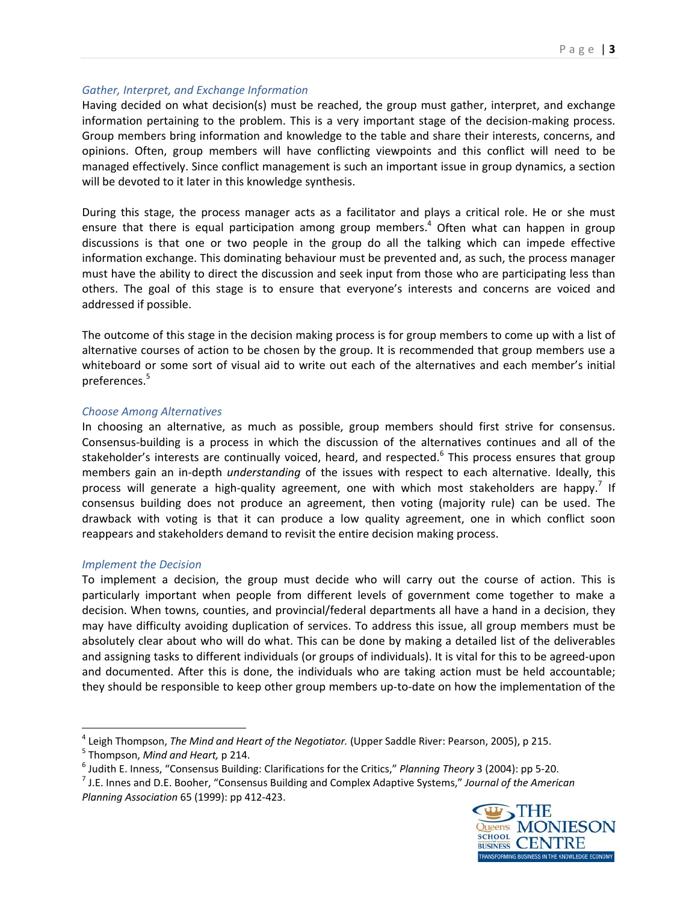#### *Gather, Interpret, and Exchange Information*

Having decided on what decision(s) must be reached, the group must gather, interpret, and exchange information pertaining to the problem. This is a very important stage of the decision-making process. Group members bring information and knowledge to the table and share their interests, concerns, and opinions. Often, group members will have conflicting viewpoints and this conflict will need to be managed effectively. Since conflict management is such an important issue in group dynamics, a section will be devoted to it later in this knowledge synthesis.

During this stage, the process manager acts as a facilitator and plays a critical role. He or she must ensure that there is equal participation among group members.<sup>4</sup> Often what can happen in group discussions is that one or two people in the group do all the talking which can impede effective information exchange. This dominating behaviour must be prevented and, as such, the process manager must have the ability to direct the discussion and seek input from those who are participating less than others. The goal of this stage is to ensure that everyone's interests and concerns are voiced and addressed if possible.

The outcome of this stage in the decision making process is for group members to come up with a list of alternative courses of action to be chosen by the group. It is recommended that group members use a whiteboard or some sort of visual aid to write out each of the alternatives and each member's initial preferences.<sup>5</sup>

### *Choose Among Alternatives*

In choosing an alternative, as much as possible, group members should first strive for consensus. Consensus‐building is a process in which the discussion of the alternatives continues and all of the stakeholder's interests are continually voiced, heard, and respected.<sup>6</sup> This process ensures that group members gain an in‐depth *understanding* of the issues with respect to each alternative. Ideally, this process will generate a high-quality agreement, one with which most stakeholders are happy.<sup>7</sup> If consensus building does not produce an agreement, then voting (majority rule) can be used. The drawback with voting is that it can produce a low quality agreement, one in which conflict soon reappears and stakeholders demand to revisit the entire decision making process.

#### *Implement the Decision*

To implement a decision, the group must decide who will carry out the course of action. This is particularly important when people from different levels of government come together to make a decision. When towns, counties, and provincial/federal departments all have a hand in a decision, they may have difficulty avoiding duplication of services. To address this issue, all group members must be absolutely clear about who will do what. This can be done by making a detailed list of the deliverables and assigning tasks to different individuals (or groups of individuals). It is vital for this to be agreed‐upon and documented. After this is done, the individuals who are taking action must be held accountable; they should be responsible to keep other group members up‐to‐date on how the implementation of the

<sup>&</sup>lt;sup>4</sup> Leigh Thompson, *The Mind and Heart of the Negotiator*. (Upper Saddle River: Pearson, 2005), p 215.<br><sup>5</sup> Thompson, *Mind and Heart*, p 214.<br><sup>6</sup> Judith E. Inness, "Consensus Building: Clarifications for the Critics," *P Planning Association* 65 (1999): pp 412‐423.

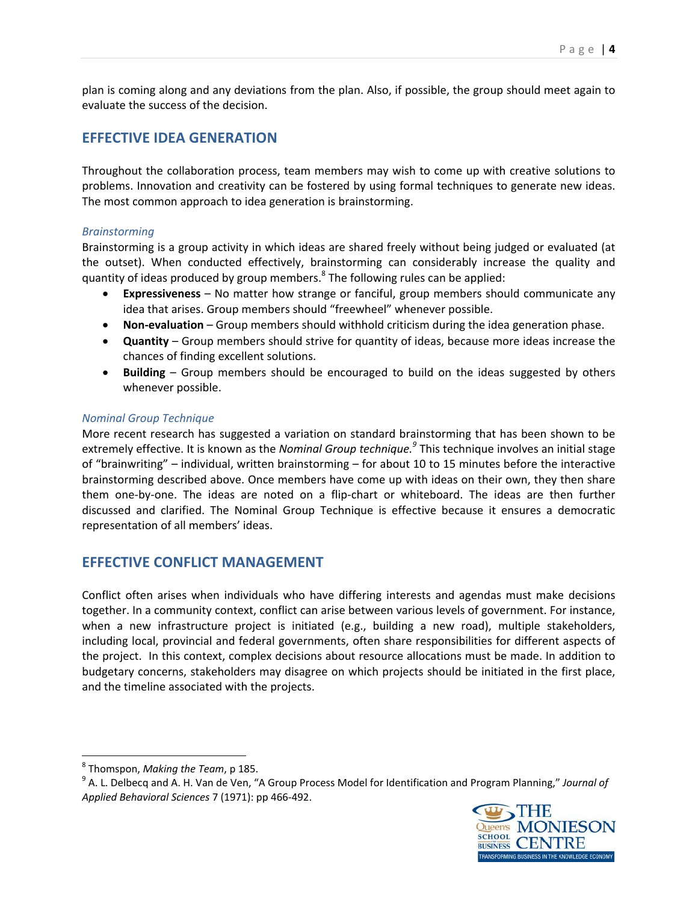plan is coming along and any deviations from the plan. Also, if possible, the group should meet again to evaluate the success of the decision.

## **EFFECTIVE IDEA GENERATION**

Throughout the collaboration process, team members may wish to come up with creative solutions to problems. Innovation and creativity can be fostered by using formal techniques to generate new ideas. The most common approach to idea generation is brainstorming.

### *Brainstorming*

Brainstorming is a group activity in which ideas are shared freely without being judged or evaluated (at the outset). When conducted effectively, brainstorming can considerably increase the quality and quantity of ideas produced by group members. $8$  The following rules can be applied:

- **Expressiveness** No matter how strange or fanciful, group members should communicate any idea that arises. Group members should "freewheel" whenever possible.
- **Non‐evaluation** Group members should withhold criticism during the idea generation phase.
- **Quantity** Group members should strive for quantity of ideas, because more ideas increase the chances of finding excellent solutions.
- **Building** Group members should be encouraged to build on the ideas suggested by others whenever possible.

### *Nominal Group Technique*

More recent research has suggested a variation on standard brainstorming that has been shown to be extremely effective. It is known as the *Nominal Group technique.<sup>9</sup>* This technique involves an initial stage of "brainwriting" – individual, written brainstorming – for about 10 to 15 minutes before the interactive brainstorming described above. Once members have come up with ideas on their own, they then share them one‐by‐one. The ideas are noted on a flip‐chart or whiteboard. The ideas are then further discussed and clarified. The Nominal Group Technique is effective because it ensures a democratic representation of all members' ideas.

## **EFFECTIVE CONFLICT MANAGEMENT**

Conflict often arises when individuals who have differing interests and agendas must make decisions together. In a community context, conflict can arise between various levels of government. For instance, when a new infrastructure project is initiated (e.g., building a new road), multiple stakeholders, including local, provincial and federal governments, often share responsibilities for different aspects of the project. In this context, complex decisions about resource allocations must be made. In addition to budgetary concerns, stakeholders may disagree on which projects should be initiated in the first place, and the timeline associated with the projects.

<sup>&</sup>lt;sup>8</sup> Thomspon, *Making the Team*, p 185.<br><sup>9</sup> A. L. Delbecq and A. H. Van de Ven, "A Group Process Model for Identification and Program Planning," *Journal of Applied Behavioral Sciences* 7 (1971): pp 466‐492.

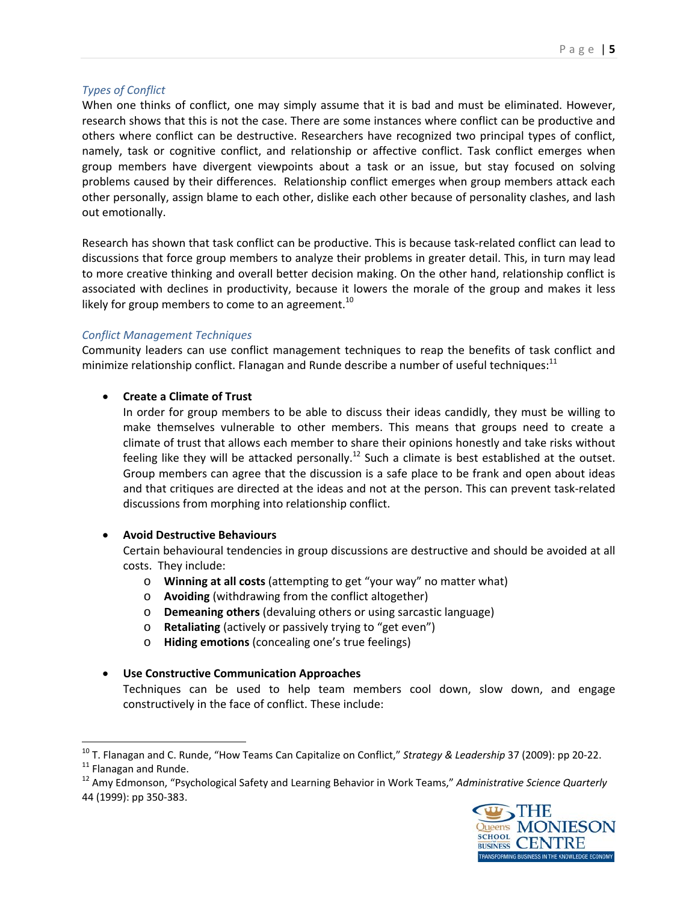## *Types of Conflict*

When one thinks of conflict, one may simply assume that it is bad and must be eliminated. However, research shows that this is not the case. There are some instances where conflict can be productive and others where conflict can be destructive. Researchers have recognized two principal types of conflict, namely, task or cognitive conflict, and relationship or affective conflict. Task conflict emerges when group members have divergent viewpoints about a task or an issue, but stay focused on solving problems caused by their differences. Relationship conflict emerges when group members attack each other personally, assign blame to each other, dislike each other because of personality clashes, and lash out emotionally.

Research has shown that task conflict can be productive. This is because task-related conflict can lead to discussions that force group members to analyze their problems in greater detail. This, in turn may lead to more creative thinking and overall better decision making. On the other hand, relationship conflict is associated with declines in productivity, because it lowers the morale of the group and makes it less likely for group members to come to an agreement.<sup>10</sup>

## *Conflict Management Techniques*

Community leaders can use conflict management techniques to reap the benefits of task conflict and minimize relationship conflict. Flanagan and Runde describe a number of useful techniques: $11$ 

## **Create a Climate of Trust**

In order for group members to be able to discuss their ideas candidly, they must be willing to make themselves vulnerable to other members. This means that groups need to create a climate of trust that allows each member to share their opinions honestly and take risks without feeling like they will be attacked personally.<sup>12</sup> Such a climate is best established at the outset. Group members can agree that the discussion is a safe place to be frank and open about ideas and that critiques are directed at the ideas and not at the person. This can prevent task-related discussions from morphing into relationship conflict.

## **Avoid Destructive Behaviours**

Certain behavioural tendencies in group discussions are destructive and should be avoided at all costs. They include:

- o **Winning at all costs** (attempting to get "your way" no matter what)
- o **Avoiding** (withdrawing from the conflict altogether)
- o **Demeaning others** (devaluing others or using sarcastic language)
- o **Retaliating** (actively or passively trying to "get even")
- o **Hiding emotions** (concealing one's true feelings)
- **Use Constructive Communication Approaches** Techniques can be used to help team members cool down, slow down, and engage constructively in the face of conflict. These include:

<sup>44</sup> (1999): pp 350‐383.



<sup>&</sup>lt;sup>10</sup> T. Flanagan and C. Runde, "How Teams Can Capitalize on Conflict," Strategy & Leadership 37 (2009): pp 20-22.<br><sup>11</sup> Flanagan and Runde.<br><sup>12</sup> Amy Edmonson, "Psychological Safety and Learning Behavior in Work Teams," Admi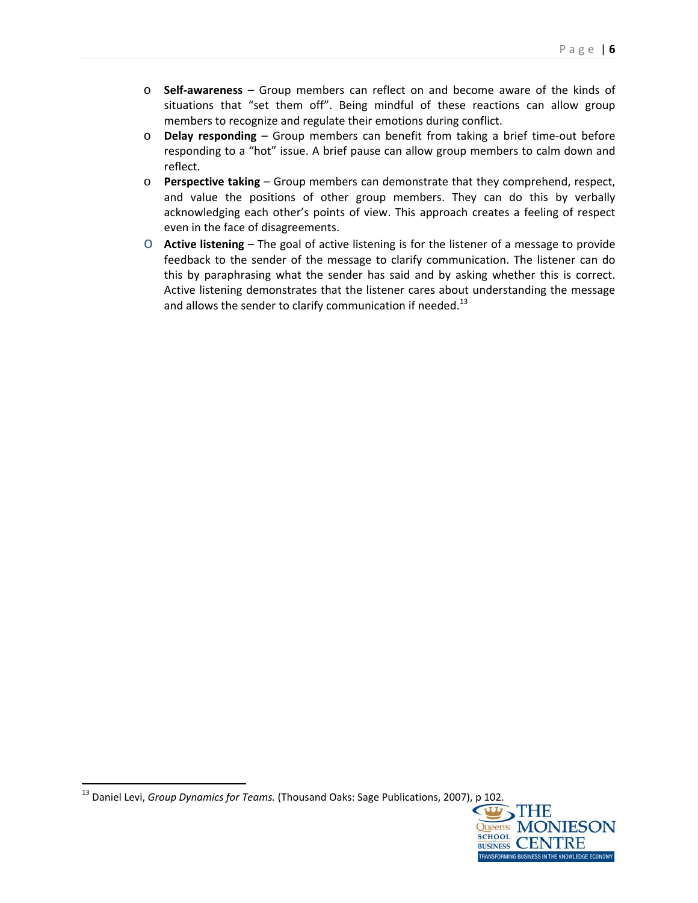- o **Self‐awareness** Group members can reflect on and become aware of the kinds of situations that "set them off". Being mindful of these reactions can allow group members to recognize and regulate their emotions during conflict.
- o **Delay responding** Group members can benefit from taking a brief time‐out before responding to a "hot" issue. A brief pause can allow group members to calm down and reflect.
- o **Perspective taking** Group members can demonstrate that they comprehend, respect, and value the positions of other group members. They can do this by verbally acknowledging each other's points of view. This approach creates a feeling of respect even in the face of disagreements.
- o **Active listening** The goal of active listening is for the listener of a message to provide feedback to the sender of the message to clarify communication. The listener can do this by paraphrasing what the sender has said and by asking whether this is correct. Active listening demonstrates that the listener cares about understanding the message and allows the sender to clarify communication if needed.<sup>13</sup>



<sup>&</sup>lt;sup>13</sup> Daniel Levi, *Group Dynamics for Teams.* (Thousand Oaks: Sage Publications, 2007), p 102.<br>THE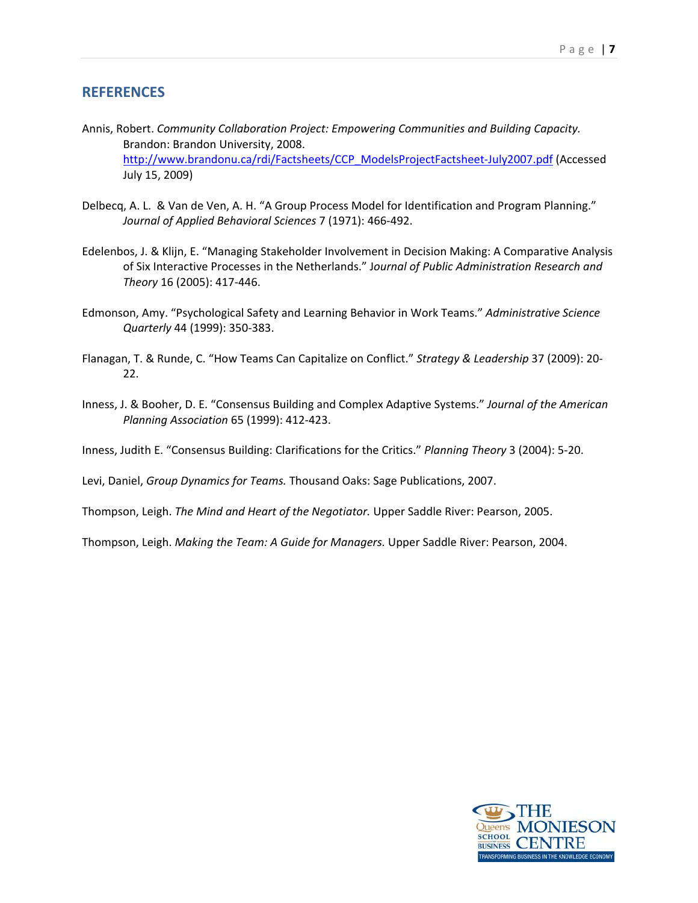## **REFERENCES**

- Annis, Robert. *Community Collaboration Project: Empowering Communities and Building Capacity.*  Brandon: Brandon University, 2008. http://www.brandonu.ca/rdi/Factsheets/CCP\_ModelsProjectFactsheet‐July2007.pdf (Accessed July 15, 2009)
- Delbecq, A. L. & Van de Ven, A. H. "A Group Process Model for Identification and Program Planning." *Journal of Applied Behavioral Sciences* 7 (1971): 466‐492.
- Edelenbos, J. & Klijn, E. "Managing Stakeholder Involvement in Decision Making: A Comparative Analysis of Six Interactive Processes in the Netherlands." J*ournal of Public Administration Research and Theory* 16 (2005): 417‐446.
- Edmonson, Amy. "Psychological Safety and Learning Behavior in Work Teams." *Administrative Science Quarterly* 44 (1999): 350‐383.
- Flanagan, T. & Runde, C. "How Teams Can Capitalize on Conflict." *Strategy & Leadership* 37 (2009): 20‐ 22.
- Inness, J. & Booher, D. E. "Consensus Building and Complex Adaptive Systems." *Journal of the American Planning Association* 65 (1999): 412‐423.
- Inness, Judith E. "Consensus Building: Clarifications for the Critics." *Planning Theory* 3 (2004): 5‐20.

Levi, Daniel, *Group Dynamics for Teams.* Thousand Oaks: Sage Publications, 2007.

Thompson, Leigh. *The Mind and Heart of the Negotiator.* Upper Saddle River: Pearson, 2005.

Thompson, Leigh. *Making the Team: A Guide for Managers.* Upper Saddle River: Pearson, 2004.